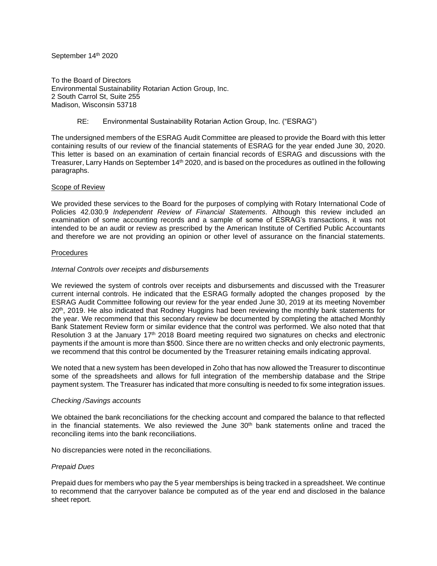September 14th 2020

To the Board of Directors Environmental Sustainability Rotarian Action Group, Inc. 2 South Carrol St, Suite 255 Madison, Wisconsin 53718

# RE: Environmental Sustainability Rotarian Action Group, Inc. ("ESRAG")

The undersigned members of the ESRAG Audit Committee are pleased to provide the Board with this letter containing results of our review of the financial statements of ESRAG for the year ended June 30, 2020. This letter is based on an examination of certain financial records of ESRAG and discussions with the Treasurer, Larry Hands on September 14<sup>th</sup> 2020, and is based on the procedures as outlined in the following paragraphs.

## Scope of Review

We provided these services to the Board for the purposes of complying with Rotary International Code of Policies 42.030.9 *Independent Review of Financial Statements.* Although this review included an examination of some accounting records and a sample of some of ESRAG's transactions, it was not intended to be an audit or review as prescribed by the American Institute of Certified Public Accountants and therefore we are not providing an opinion or other level of assurance on the financial statements.

## Procedures

## *Internal Controls over receipts and disbursements*

We reviewed the system of controls over receipts and disbursements and discussed with the Treasurer current internal controls. He indicated that the ESRAG formally adopted the changes proposed by the ESRAG Audit Committee following our review for the year ended June 30, 2019 at its meeting November 20<sup>th</sup>, 2019. He also indicated that Rodney Huggins had been reviewing the monthly bank statements for the year. We recommend that this secondary review be documented by completing the attached Monthly Bank Statement Review form or similar evidence that the control was performed. We also noted that that Resolution 3 at the January 17th 2018 Board meeting required two signatures on checks and electronic payments if the amount is more than \$500. Since there are no written checks and only electronic payments, we recommend that this control be documented by the Treasurer retaining emails indicating approval.

We noted that a new system has been developed in Zoho that has now allowed the Treasurer to discontinue some of the spreadsheets and allows for full integration of the membership database and the Stripe payment system. The Treasurer has indicated that more consulting is needed to fix some integration issues.

#### *Checking /Savings accounts*

We obtained the bank reconciliations for the checking account and compared the balance to that reflected in the financial statements. We also reviewed the June  $30<sup>th</sup>$  bank statements online and traced the reconciling items into the bank reconciliations.

No discrepancies were noted in the reconciliations.

## *Prepaid Dues*

Prepaid dues for members who pay the 5 year memberships is being tracked in a spreadsheet. We continue to recommend that the carryover balance be computed as of the year end and disclosed in the balance sheet report*.*